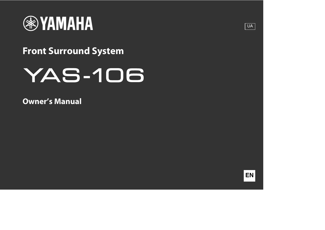

# **Front Surround System**

# **YAS-106**

**Owner's Manual**



**UA**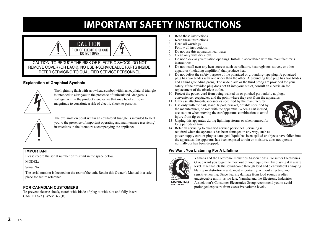# **IMPORTANT SAFETY INSTRUCTIONS**

<span id="page-1-0"></span>

### **Explanation of Graphical Symbols**



The lightning flash with arrowhead symbol within an equilateral triangle is intended to alert you to the presence of uninsulated "dangerous voltage" within the product's enclosure that may be of sufficient magnitude to constitute a risk of electric shock to persons.



The exclamation point within an equilateral triangle is intended to alert you to the presence of important operating and maintenance (servicing) instructions in the literature accompanying the appliance.

#### **IMPORTANT**

Please record the serial number of this unit in the space below. MODEL:

Serial No.:

The serial number is located on the rear of the unit. Retain this Owner's Manual in a safe place for future reference.

### **FOR CANADIAN CUSTOMERS**

To prevent electric shock, match wide blade of plug to wide slot and fully insert. CAN ICES-3 (B)/NMB-3 (B)

- 1 Read these instructions.<br>2 Keep these instructions
- Keep these instructions.
- 3 Heed all warnings.<br>4 Follow all instruction
- 4 Follow all instructions.<br>5 Do not use this apparate
- 5 Do not use this apparatus near water.
- 6 Clean only with dry cloth.<br> $\frac{7}{7}$  Do not block any ventilation
- Do not block any ventilation openings. Install in accordance with the manufacturer's instructions.
- 8 Do not install near any heat sources such as radiators, heat registers, stoves, or other apparatus (including amplifiers) that produce heat.
- 9 Do not defeat the safety purpose of the polarized or grounding-type plug. A polarized plug has two blades with one wider than the other. A grounding type plug has two blades and a third grounding prong. The wide blade or the third prong are provided for your safety. If the provided plug does not fit into your outlet, consult an electrician for replacement of the obsolete outlet.
- 10 Protect the power cord from being walked on or pinched particularly at plugs, convenience receptacles, and the point where they exit from the apparatus.
- 11 Only use attachments/accessories specified by the manufacturer.
- 12 Use only with the cart, stand, tripod, bracket, or table specified by the manufacturer, or sold with the apparatus. When a cart is used, use caution when moving the cart/apparatus combination to avoid injury from tip-over.



- 13 Unplug this apparatus during lightning storms or when unused for long periods of time.
- 14 Refer all servicing to qualified service personnel. Servicing is required when the apparatus has been damaged in any way, such as power-supply cord or plug is damaged, liquid has been spilled or objects have fallen into the apparatus, the apparatus has been exposed to rain or moisture, does not operate normally, or has been dropped.

### **We Want You Listening For A Lifetime**



Yamaha and the Electronic Industries Association's Consumer Electronics Group want you to get the most out of your equipment by playing it at a safe level. One that lets the sound come through loud and clear without annoying blaring or distortion – and, most importantly, without affecting your sensitive hearing. Since hearing damage from loud sounds is often undetectable until it is too late, Yamaha and the Electronic Industries Association's Consumer Electronics Group recommend you to avoid prolonged exposure from excessive volume levels.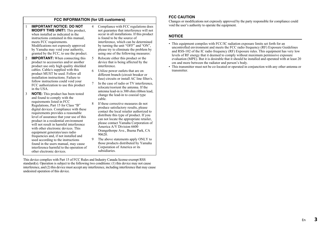### **FCC INFORMATION (for US customers)**

- 1 **IMPORTANT NOTICE: DO NOT MODIFY THIS UNIT!:** This product, when installed as indicated in the instructions contained in this manual, meets FCC requirements. Modifications not expressly approved by Yamaha may void your authority, granted by the FCC, to use the product.
- 2 **IMPORTANT:** When connecting this product to accessories and/or another product use only high quality shielded cables. Cable/s supplied with this product MUST be used. Follow all installation instructions. Failure to follow instructions could void your FCC authorization to use this product in the USA.
- 3 **NOTE:** This product has been tested and found to comply with the requirements listed in FCC Regulations, Part 15 for Class "B" digital devices. Compliance with these requirements provides a reasonable level of assurance that your use of this product in a residential environment will not result in harmful interference with other electronic devices. This equipment generates/uses radio frequencies and, if not installed and used according to the instructions found in the users manual, may cause interference harmful to the operation of other electronic devices.
- 4 Compliance with FCC regulations does not guarantee that interference will not occur in all installations. If this product is found to be the source of interference, which can be determined by turning the unit "OFF" and "ON", please try to eliminate the problem by using one of the following measures:
- 5 Relocate either this product or the device that is being affected by the interference.
- 6 Utilize power outlets that are on different branch (circuit breaker or fuse) circuits or install AC line filter/s.
- In the case of radio or TV interference. relocate/reorient the antenna. If the antenna lead-in is 300 ohm ribbon lead, change the lead-in to coaxial type cable.
- 8 If these corrective measures do not produce satisfactory results, please contact the local retailer authorized to distribute this type of product. If you can not locate the appropriate retailer, please contact Yamaha Corporation of America A/V Division 6600 Orangethorpe Ave., Buena Park, CA 90620.
- 9 The above statements apply ONLY to those products distributed by Yamaha Corporation of America or its subsidiaries.

This device complies with Part 15 of FCC Rules and Industry Canada license-exempt RSS standard(s). Operation is subject to the following two conditions: (1) this device may not cause interference, and (2) this device must accept any interference, including interference that may cause undesired operation of this device.

#### **FCC CAUTION**

Changes or modifications not expressly approved by the party responsible for compliance could void the user's authority to operate the equipment.

#### **NOTICE**

- This equipment compiles with FCC/IC radiation exposure limits set forth for an uncontrolled environment and meets the FCC radio frequency (RF) Exposure Guidelines and RSS-102 of the IC radio frequency (RF) Exposure rules. This equipment has very low levels of RF energy that it deemed to comply without maximum permissive exposure evaluation (MPE). But it is desirable that it should be installed and operated with at least 20 cm and more between the radiator and person's body.
- This transmitter must not be co-located or operated in conjunction with any other antenna or transmitter.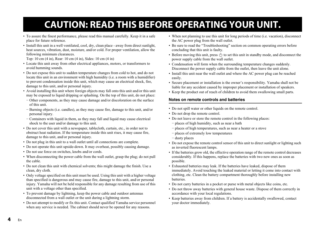# **CAUTION: READ THIS BEFORE OPERATING YOUR UNIT.**

- <span id="page-3-0"></span>• To assure the finest performance, please read this manual carefully. Keep it in a safe place for future reference.
- Install this unit in a well ventilated, cool, dry, clean place away from direct sunlight heat sources, vibration, dust, moisture, and/or cold. For proper ventilation, allow the following minimum clearances.

Top: 10 cm (4 in), Rear: 10 cm (4 in), Sides: 10 cm (4 in)

- Locate this unit away from other electrical appliances, motors, or transformers to avoid humming sounds.
- Do not expose this unit to sudden temperature changes from cold to hot, and do not locate this unit in an environment with high humidity (i.e. a room with a humidifier) to prevent condensation inside this unit, which may cause an electrical shock, fire, damage to this unit, and/or personal injury.
- Avoid installing this unit where foreign objects may fall onto this unit and/or this unit may be exposed to liquid dripping or splashing. On the top of this unit, do not place:
	- − Other components, as they may cause damage and/or discoloration on the surface of this unit.
	- − Burning objects (i.e. candles), as they may cause fire, damage to this unit, and/or personal injury.
	- − Containers with liquid in them, as they may fall and liquid may cause electrical shock to the user and/or damage to this unit.
- Do not cover this unit with a newspaper, tablecloth, curtain, etc., in order not to obstruct heat radiation. If the temperature inside this unit rises, it may cause fire, damage to this unit, and/or personal injury.
- Do not plug in this unit to a wall outlet until all connections are complete.
- Do not operate this unit upside-down. It may overheat, possibly causing damage.
- Do not use force on switches, knobs and/or cords.
- When disconnecting the power cable from the wall outlet, grasp the plug; do not pull the cable.
- Do not clean this unit with chemical solvents; this might damage the finish. Use a clean, dry cloth.
- Only voltage specified on this unit must be used. Using this unit with a higher voltage than specified is dangerous and may cause fire, damage to this unit, and/or personal injury. Yamaha will not be held responsible for any damage resulting from use of this unit with a voltage other than specified.
- To prevent damage by lightning, keep the power cable and outdoor antennas disconnected from a wall outlet or the unit during a lightning storm.
- Do not attempt to modify or fix this unit. Contact qualified Yamaha service personnel when any service is needed. The cabinet should never be opened for any reasons.
- When not planning to use this unit for long periods of time (i.e. vacation), disconnect the AC power plug from the wall outlet
- Be sure to read the "Troubleshooting" section on common operating errors before concluding that this unit is faulty.
- Before moving this unit, press  $(1)$  to set this unit in standby mode, and disconnect the power supply cable from the wall outlet.
- Condensation will form when the surrounding temperature changes suddenly. Disconnect the power supply cable from the outlet, then leave the unit alone.
- Install this unit near the wall outlet and where the AC power plug can be reached easily.
- Secure placement or installation is the owner's responsibility. Yamaha shall not be liable for any accident caused by improper placement or installation of speakers.
- Keep the product out of reach of children to avoid them swallowing small parts.

### **Notes on remote controls and batteries**

- Do not spill water or other liquids on the remote control.
- Do not drop the remote control.
- Do not leave or store the remote control in the following places:
	- − places of high humidity, such as near a bath
	- − places of high temperatures, such as near a heater or a stove
	- − places of extremely low temperatures
	- − dusty places
- Do not expose the remote control sensor of this unit to direct sunlight or lighting such as inverted fluorescent lamps.
- If the batteries grow old, the effective operation range of the remote control decreases considerably. If this happens, replace the batteries with two new ones as soon as possible.
- Exhausted batteries may leak. If the batteries have leaked, dispose of them immediately. Avoid touching the leaked material or letting it come into contact with clothing, etc. Clean the battery compartment thoroughly before installing new batteries.
- Do not carry batteries in a pocket or purse with metal objects like coins, etc.
- Do not throw away batteries with general house waste. Dispose of them correctly in accordance with your local regulations.
- Keep batteries away from children. If a battery is accidentally swallowed, contact your doctor immediately.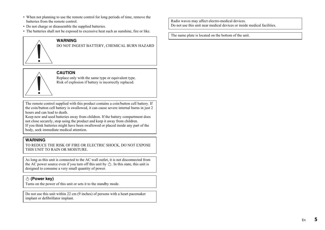- When not planning to use the remote control for long periods of time, remove the batteries from the remote control.
- Do not charge or disassemble the supplied batteries.
- The batteries shall not be exposed to excessive heat such as sunshine, fire or like.

### **WARNING**

DO NOT INGEST BATTERY, CHEMICAL BURN HAZARD

### **CAUTION**

Replace only with the same type or equivalent type. Risk of explosion if battery is incorrectly replaced.

The remote control supplied with this product contains a coin/button cell battery. If the coin/button cell battery is swallowed, it can cause severe internal burns in just 2 hours and can lead to death.

Keep new and used batteries away from children. If the battery compartment does not close securely, stop using the product and keep it away from children. If you think batteries might have been swallowed or placed inside any part of the body, seek immediate medical attention.

### **WARNING**

TO REDUCE THE RISK OF FIRE OR ELECTRIC SHOCK, DO NOT EXPOSE THIS UNIT TO RAIN OR MOISTURE.

As long as this unit is connected to the AC wall outlet, it is not disconnected from the AC power source even if you turn off this unit by  $(1)$ . In this state, this unit is designed to consume a very small quantity of power.

### **(Power key)**

Turns on the power of this unit or sets it to the standby mode.

Do not use this unit within 22 cm (9 inches) of persons with a heart pacemaker implant or defibrillator implant.

Radio waves may affect electro-medical devices. Do not use this unit near medical devices or inside medical facilities.

The name plate is located on the bottom of the unit.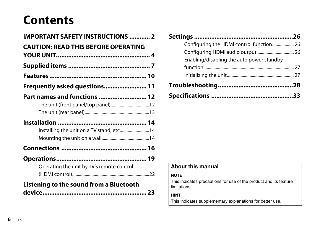# **Contents**

| <b>IMPORTANT SAFETY INSTRUCTIONS  2</b>    |
|--------------------------------------------|
| <b>CAUTION: READ THIS BEFORE OPERATING</b> |
|                                            |
|                                            |
|                                            |
| Frequently asked questions 11              |
| Part names and functions  12               |
| Installing the unit on a TV stand, etc 14  |
|                                            |
| Operating the unit by TV's remote control  |
| Listening to the sound from a Bluetooth    |

| Configuring the HDMI control function 26  |  |
|-------------------------------------------|--|
|                                           |  |
| Enabling/disabling the auto power standby |  |
|                                           |  |
|                                           |  |
|                                           |  |
|                                           |  |

# **About this manual**

### **NOTE**

This indicates precautions for use of the product and its feature limitations.

**HINT**

This indicates supplementary explanations for better use.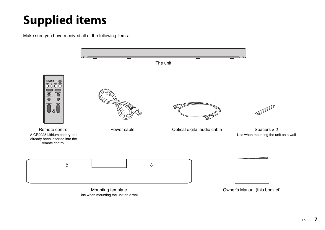# <span id="page-6-0"></span>**Supplied items**

Make sure you have received all of the following items.

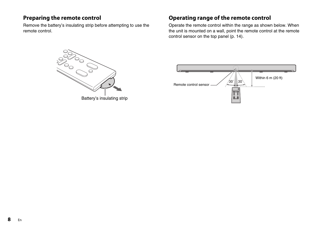## **Preparing the remote control**

Remove the battery's insulating strip before attempting to use the remote control.

## <span id="page-7-0"></span>**Operating range of the remote control**

Operate the remote control within the range as shown below. When the unit is mounted on a wall, point the remote control at the remote control sensor on the top panel ([p. 14](#page-13-2)).



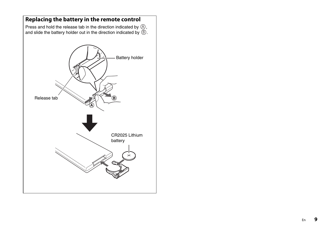<span id="page-8-0"></span>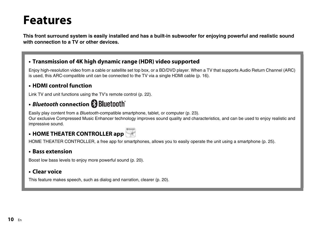# <span id="page-9-0"></span>**Features**

**This front surround system is easily installed and has a built-in subwoofer for enjoying powerful and realistic sound with connection to a TV or other devices.**

## **• Transmission of 4K high dynamic range (HDR) video supported**

Enjoy high-resolution video from a cable or satellite set top box, or a BD/DVD player. When a TV that supports Audio Return Channel (ARC) is used, this ARC-compatible unit can be connected to the TV via a single HDMI cable [\(p. 16](#page-15-1)).

## **• HDMI control function**

Link TV and unit functions using the TV's remote control ([p. 22](#page-21-0)).

# **• Bluetooth connection**

Easily play content from a Bluetooth-compatible smartphone, tablet, or computer [\(p. 23](#page-22-0)).

Our exclusive Compressed Music Enhancer technology improves sound quality and characteristics, and can be used to enjoy realistic and impressive sound.

# **• HOME THEATER CONTROLLER app**



HOME THEATER CONTROLLER, a free app for smartphones, allows you to easily operate the unit using a smartphone ([p. 25\)](#page-24-0).

## **• Bass extension**

Boost low bass levels to enjoy more powerful sound ([p. 20\)](#page-19-1).

# **• Clear voice**

This feature makes speech, such as dialog and narration, clearer [\(p. 20\)](#page-19-0).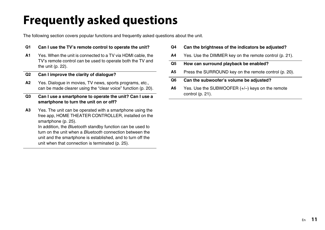# <span id="page-10-0"></span>**Frequently asked questions**

The following section covers popular functions and frequently asked questions about the unit.

### **Q1 Can I use the TV's remote control to operate the unit?**

**A1** Yes. When the unit is connected to a TV via HDMI cable, the TV's remote control can be used to operate both the TV and the unit ([p. 22\)](#page-21-0).

### **Q2 Can I improve the clarity of dialogue?**

**A2** Yes. Dialogue in movies, TV news, sports programs, etc., can be made clearer using the "clear voice" function [\(p. 20](#page-19-0)).

### **Q3 Can I use a smartphone to operate the unit? Can I use a smartphone to turn the unit on or off?**

**A3** Yes. The unit can be operated with a smartphone using the free app, HOME THEATER CONTROLLER, installed on the smartphone ([p. 25\)](#page-24-0).

In addition, the Bluetooth standby function can be used to turn on the unit when a Bluetooth connection between the unit and the smartphone is established, and to turn off the unit when that connection is terminated [\(p. 25](#page-24-1)).

- **Q4 Can the brightness of the indicators be adjusted?**
- **A4** Yes. Use the DIMMER key on the remote control [\(p. 21\)](#page-20-1).
- **Q5 How can surround playback be enabled?**
- **A5** Press the SURROUND key on the remote control ([p. 20\)](#page-19-2).

### **Q6 Can the subwoofer's volume be adjusted?**

**A6** Yes. Use the SUBWOOFER (+/–) keys on the remote control [\(p. 21](#page-20-0)).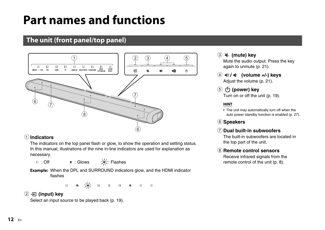# <span id="page-11-0"></span>**Part names and functions**

# <span id="page-11-1"></span>**The unit (front panel/top panel)**



### 1**Indicators**

The indicators on the top panel flash or glow, to show the operation and setting status. In this manual, illustrations of the nine in-line indicators are used for explanation as necessary.

□ : Off  $\Box$ : Glows  $\Box$  = : Flashes

**Example:** When the DPL and SURROUND indicators glow, and the HDMI indicator flashes

> ■ ※ ■  $\Box$  $\Box$  $\Box$

## 2 **(input) key**

Select an input source to be played back [\(p. 19\)](#page-18-1).

# 3 **(mute) key**

Mute the audio output. Press the key again to unmute [\(p. 21\)](#page-20-2).

- 4 **/ (volume +/-) keys** Adjust the volume [\(p. 21](#page-20-3)).
- 5 **(power) key** Turn on or off the unit [\(p. 19](#page-18-0)).

### **HINT**

• The unit may automatically turn off when the auto power standby function is enabled ([p. 27](#page-26-0)).

6**Speakers**

### 7**Dual built-in subwoofers**

The built-in subwoofers are located in the top part of the unit.

### 8**Remote control sensors**

Receive infrared signals from the remote control of the unit [\(p. 8\)](#page-7-0).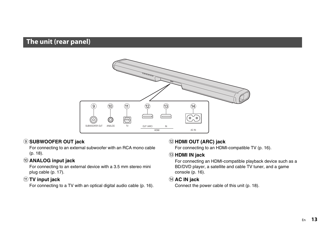# <span id="page-12-0"></span>**The unit (rear panel)**



### 9**SUBWOOFER OUT jack**

For connecting to an external subwoofer with an RCA mono cable ([p. 18](#page-17-0)).

### 0**ANALOG input jack**

For connecting to an external device with a 3.5 mm stereo mini plug cable [\(p. 17\)](#page-16-0).

### a**TV input jack**

For connecting to a TV with an optical digital audio cable ([p. 16](#page-15-0)).

### b**HDMI OUT (ARC) jack**

For connecting to an HDMI-compatible TV [\(p. 16](#page-15-0)).

### c**HDMI IN jack**

For connecting an HDMI-compatible playback device such as a BD/DVD player, a satellite and cable TV tuner, and a game console ([p. 16\)](#page-15-0).

### d**AC IN jack**

Connect the power cable of this unit [\(p. 18\)](#page-17-1).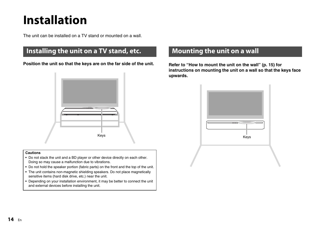# <span id="page-13-0"></span>**Installation**

The unit can be installed on a TV stand or mounted on a wall.

# <span id="page-13-1"></span>**Installing the unit on a TV stand, etc.**

**Position the unit so that the keys are on the far side of the unit. Refer to ["How to mount the unit on the wall](#page-14-0)" [\(p. 15](#page-14-0)) for** 



#### **Cautions**

- Do not stack the unit and a BD player or other device directly on each other. Doing so may cause a malfunction due to vibrations.
- Do not hold the speaker portion (fabric parts) on the front and the top of the unit.
- The unit contains non-magnetic shielding speakers. Do not place magnetically sensitive items (hard disk drive, etc.) near the unit.
- Depending on your installation environment, it may be better to connect the unit and external devices before installing the unit.

# <span id="page-13-2"></span>**Mounting the unit on a wall**

**instructions on mounting the unit on a wall so that the keys face upwards.**

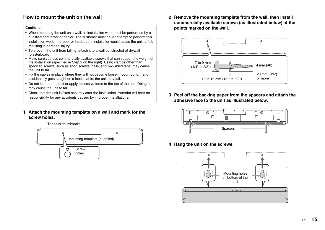### <span id="page-14-0"></span>**How to mount the unit on the wall**

#### **Cautions**

- When mounting the unit on a wall, all installation work must be performed by a qualified contractor or dealer. The customer must never attempt to perform this installation work. Improper or inadequate installation could cause the unit to fall, resulting in personal injury.
- To prevent the unit from falling, attach it to a wall constructed of drywall (plasterboard).
- Make sure you use commercially available screws that can support the weight of the installation (specified in Step 2 on the right). Using clamps other than specified screws, such as short screws, nails, and two-sided tape, may cause the unit to fall.
- Fix the cables in place where they will not become loose. If your foot or hand accidentally gets caught on a loose cable, the unit may fall.
- Do not lean on the unit or apply excessive force to the top of the unit. Doing so may cause the unit to fall.
- Check that the unit is fixed securely after the installation. Yamaha will bear no responsibility for any accidents caused by improper installations.
- **1 Attach the mounting template on a wall and mark for the screw holes.**



**2 Remove the mounting template from the wall, then install commercially available screws (as illustrated below) at the points marked on the wall.**



**3 Peel off the backing paper from the spacers and attach the adhesive face to the unit as illustrated below.**



**4 Hang the unit on the screws.**

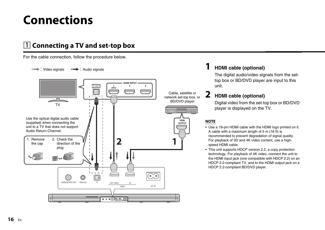# <span id="page-15-0"></span>**Connections**

# <span id="page-15-1"></span>a **Connecting a TV and set-top box**

For the cable connection, follow the procedure below.



# **1 HDMI cable (optional)**

The digital audio/video signals from the settop box or BD/DVD player are input to this unit.

# **2 HDMI cable (optional)**

Digital video from the set-top box or BD/DVD player is displayed on the TV.

### **NOTE**

- Use a 19-pin HDMI cable with the HDMI logo printed on it. A cable with a maximum length of 5 m (16 ft) is recommended to prevent degradation of signal quality. For playback of 3D and 4K video content, use a highspeed HDMI cable.
- This unit supports HDCP version 2.2, a copy protection technology. For playback of 4K video, connect the unit to the HDMI input jack (one compatible with HDCP 2.2) on an HDCP 2.2-compliant TV, and to the HDMI output jack on a HDCP 2.2-compliant BD/DVD player.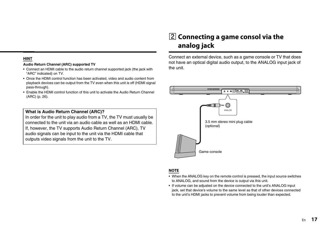### **HINT**

#### <span id="page-16-1"></span>**Audio Return Channel (ARC) supported TV**

- Connect an HDMI cable to the audio return channel supported jack (the jack with "ARC" indicated) on TV.
- <span id="page-16-2"></span>• Once the HDMI control function has been activated, video and audio content from playback devices can be output from the TV even when this unit is off (HDMI signal pass-through).
- Enable the HDMI control function of this unit to activate the Audio Return Channel (ARC) [\(p. 26\)](#page-25-1).

### **What is Audio Return Channel (ARC)?**

In order for the unit to play audio from a TV, the TV must usually be connected to the unit via an audio cable as well as an HDMI cable. If, however, the TV supports Audio Return Channel (ARC), TV audio signals can be input to the unit via the HDMI cable that outputs video signals from the unit to the TV.

# <span id="page-16-0"></span> $\boxed{2}$  **Connecting a game consol via the analog jack**

Connect an external device, such as a game console or TV that does not have an optical digital audio output, to the ANALOG input jack of the unit.



#### **NOTE**

- When the ANALOG key on the remote control is pressed, the input source switches to ANALOG, and sound from the device is output via this unit.
- If volume can be adjusted on the device connected to the unit's ANALOG input jack, set that device's volume to the same level as that of other devices connected to the unit's HDMI jacks to prevent volume from being louder than expected.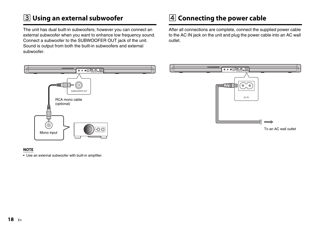# <span id="page-17-0"></span> $\overline{3}$  **Using an external subwoofer**

The unit has dual built-in subwoofers; however you can connect an external subwoofer when you want to enhance low frequency sound. Connect a subwoofer to the SUBWOOFER OUT jack of the unit. Sound is output from both the built-in subwoofers and external subwoofer.

# <span id="page-17-1"></span>d **Connecting the power cable**

After all connections are complete, connect the supplied power cable to the AC IN jack on the unit and plug the power cable into an AC wall outlet.



### **NOTE**

• Use an external subwoofer with built-in amplifier.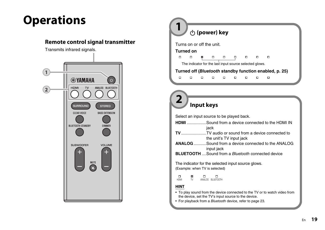# <span id="page-18-0"></span>**Operations**

### **Remote control signal transmitter**

Transmits infrared signals.



|   |                                                         | ⊙ (power) key |   |   |   |   |   |                                                        |  |
|---|---------------------------------------------------------|---------------|---|---|---|---|---|--------------------------------------------------------|--|
|   | Turns on or off the unit.                               |               |   |   |   |   |   |                                                        |  |
|   | <b>Turned on</b>                                        |               |   |   |   |   |   |                                                        |  |
| п | □                                                       |               | □ | □ |   | □ | □ | п                                                      |  |
|   | The indicator for the last input source selected glows. |               |   |   |   |   |   |                                                        |  |
|   |                                                         |               |   |   |   |   |   | Turned off (Bluetooth standby function enabled, p. 25) |  |
| п | п                                                       | п             | п | п | п | п | п | ◻                                                      |  |
|   |                                                         |               |   |   |   |   |   |                                                        |  |

# <span id="page-18-1"></span>**Input keys 2**

Select an input source to be played back. **HDMI** .................Sound from a device connected to the HDMI IN jack **TV**......................TV audio or sound from a device connected to the unit's TV input jack **ANALOG** ...........Sound from a device connected to the ANALOG input jack **BLUETOOTH** ....Sound from a *Bluetooth* connected device The indicator for the selected input source glows. (Example: when TV is selected)  $\Box$  $\blacksquare$  $\Box$  $\Box$ HDMI TV ANALOG BLUETOOTH **HINT** • To play sound from the device connected to the TV or to watch video from the device, set the TV's input source to the device.

• For playback from a Bluetooth device, refer to page [23.](#page-22-0)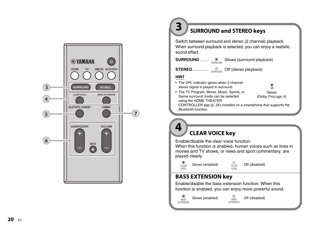

# **SURROUND and STEREO keys**

Switch between surround and stereo (2 channel) playback. When surround playback is selected, you can enjoy a realistic sound effect.

SURROUND........ **LETTED Glows (surround playback)** 

STEREO..................<sub>SURROUND</sub> Off (stereo playback)

### **HINT**

<span id="page-19-0"></span>**4**

<span id="page-19-2"></span>**3**

• The DPL indicator glows when 2-channel  $\blacksquare$ stereo signal is played in surround.  $n<sub>Pl</sub>$ • The TV Program, Movie, Music, Sports, or Glows Game surround mode can be selected (Dolby ProLogic II) using the HOME THEATER CONTROLLER app ([p. 25](#page-24-0)) installed on a smartphone that supports the Bluetooth function.

# **CLEAR VOICE key**

Enable/disable the clear voice function.

When this function is enabled, human voices such as lines in movies and TV shows, or news and sport commentary, are played clearly.

CLEAR VOICE  $\Box$ CLEAR VOICE Glows (enabled)  $\overrightarrow{C}$  Off (disabled)

## <span id="page-19-1"></span>**BASS EXTENSION key**

Enable/disable the bass extension function. When this function is enabled, you can enjoy more powerful sound.

 $\blacksquare$ BASS EXTENSION

 $\Box$ <br>BASS **EXTENSION** Glows (enabled)  $\overrightarrow{a_{\text{nc}}}$  Off (disabled)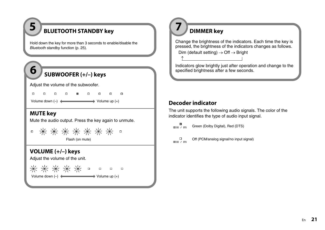# **BLUETOOTH STANDBY key**

Hold down the key for more than 3 seconds to enable/disable the Bluetooth standby function ([p. 25\)](#page-24-1).

# **SUBWOOFER (+/–) keys**

Adjust the volume of the subwoofer.

Volume down  $(-)$   $\longleftrightarrow$  Volume up  $(+)$ 

### <span id="page-20-2"></span>**MUTE key**

**5**

<span id="page-20-0"></span>**6**

Mute the audio output. Press the key again to unmute.

|                 |  |  |  |  |  |  | 米米米米米米米。 |  |
|-----------------|--|--|--|--|--|--|----------|--|
| Flash (on mute) |  |  |  |  |  |  |          |  |

### <span id="page-20-3"></span>**VOLUME (+/–) keys**

Adjust the volume of the unit.

Volume down (–) Volume up (+)

<span id="page-20-1"></span>

Change the brightness of the indicators. Each time the key is pressed, the brightness of the indicators changes as follows.

Dim (default setting)  $\rightarrow$  Off  $\rightarrow$  Bright

Indicators glow brightly just after operation and change to the specified brightness after a few seconds.

## **Decoder indicator**

↑

The unit supports the following audio signals. The color of the indicator identifies the type of audio input signal.

 $\blacksquare$ Green (Dolby Digital), Red (DTS)  $\overline{CD}$  DD  $\overline{Z}$  DTS



Off (PCM/analog signal/no input signal)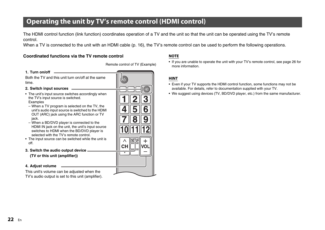# <span id="page-21-0"></span>**Operating the unit by TV's remote control (HDMI control)**

The HDMI control function (link function) coordinates operation of a TV and the unit so that the unit can be operated using the TV's remote control.

When a TV is connected to the unit with an HDMI cable [\(p. 16](#page-15-1)), the TV's remote control can be used to perform the following operations.

### **Coordinated functions via the TV remote control NOTE**

Remote control of TV (Example)

Both the TV and this unit turn on/off at the same time.

#### **2. Switch input sources**

**1. Turn on/off**

- The unit's input source switches accordingly when the TV's input source is switched. Examples
- When a TV program is selected on the TV, the unit's audio input source is switched to the HDMI OUT (ARC) jack using the ARC function or TV jack.
- When a BD/DVD player is connected to the HDMI IN jack on the unit, the unit's input source switches to HDMI when the BD/DVD player is selected with the TV's remote control.
- The input source can be switched while the unit is off.
- **3. Switch the audio output device (TV or this unit (amplifier))**

### **4. Adjust volume**

This unit's volume can be adjusted when the TV's audio output is set to this unit (amplifier).



• If you are unable to operate the unit with your TV's remote control, see page [26](#page-25-1) for more information.

### **HINT**

- Even if your TV supports the HDMI control function, some functions may not be available. For details, refer to documentation supplied with your TV.
- We suggest using devices (TV, BD/DVD player, etc.) from the same manufacturer.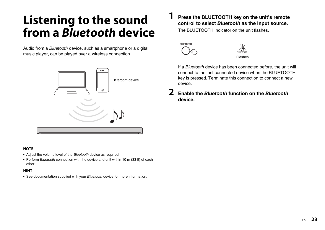# <span id="page-22-0"></span>**Listening to the sound from a Bluetooth device**

Audio from a Bluetooth device, such as a smartphone or a digital music player, can be played over a wireless connection.



### **NOTE**

- Adjust the volume level of the Bluetooth device as required.
- Perform Bluetooth connection with the device and unit within 10 m (33 ft) of each other.

### **HINT**

• See documentation supplied with your Bluetooth device for more information.

## **1 Press the BLUETOOTH key on the unit's remote control to select Bluetooth as the input source.**

The BLUETOOTH indicator on the unit flashes





If a Bluetooth device has been connected before, the unit will connect to the last connected device when the BLUETOOTH key is pressed. Terminate this connection to connect a new device.

**2 Enable the Bluetooth function on the Bluetooth device.**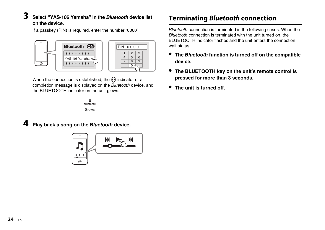# **3 Select "YAS-106 Yamaha" in the** *Bluetooth* **device list on the device.**

If a passkey (PIN) is required, enter the number "0000".

Bluetooth ON  $PIN 0000$ \*\*\*\*\*\*\*\*  $\begin{array}{|c|c|c|c|c|}\n1 & 2 & 3 \\
4 & 5 & 6\n\end{array}$  $\begin{array}{|c|c|c|c|c|}\n\hline\n4 & 5 & 6 \\
\hline\n7 & 8 & 9\n\end{array}$ YAS-106 Yamaha 89  $\overline{\circ}$  $\frac{\partial^2 u}{\partial x^2}$ 

When the connection is established, the  $\Omega$  indicator or a completion message is displayed on the Bluetooth device, and the BLUETOOTH indicator on the unit glows.



# **4 Play back a song on the Bluetooth device.**



# <span id="page-23-0"></span>**Terminating Bluetooth connection**

Bluetooth connection is terminated in the following cases. When the Bluetooth connection is terminated with the unit turned on, the BLUETOOTH indicator flashes and the unit enters the connection wait status.

- **• The Bluetooth function is turned off on the compatible device.**
- **• The BLUETOOTH key on the unit's remote control is pressed for more than 3 seconds.**
- **• The unit is turned off.**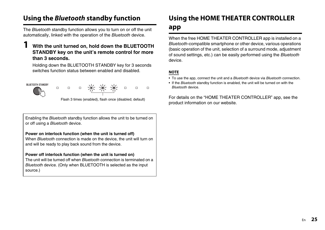# <span id="page-24-1"></span>**Using the Bluetooth standby function**

The Bluetooth standby function allows you to turn on or off the unit automatically, linked with the operation of the Bluetooth device.

### **1 With the unit turned on, hold down the BLUETOOTH STANDBY key on the unit's remote control for more than 3 seconds.**

Holding down the BLUETOOTH STANDBY key for 3 seconds switches function status between enabled and disabled.



Enabling the Bluetooth standby function allows the unit to be turned on or off using a Bluetooth device.

### **Power on interlock function (when the unit is turned off)**

When Bluetooth connection is made on the device, the unit will turn on and will be ready to play back sound from the device.

### **Power off interlock function (when the unit is turned on)**

The unit will be turned off when Bluetooth connection is terminated on a Bluetooth device. (Only when BLUETOOTH is selected as the input source.)

# <span id="page-24-0"></span>**Using the HOME THEATER CONTROLLER**

## **app**

When the free HOME THEATER CONTROLLER app is installed on a Bluetooth-compatible smartphone or other device, various operations (basic operation of the unit, selection of a surround mode, adjustment of sound settings, etc.) can be easily performed using the Bluetooth device.

### **NOTE**

- To use the app, connect the unit and a *Bluetooth* device via *Bluetooth* connection.
- If the Bluetooth standby function is enabled, the unit will be turned on with the Bluetooth device.

For details on the "HOME THEATER CONTROLLER" app, see the product information on our website.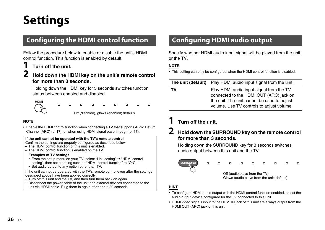# <span id="page-25-0"></span>**Settings**

# <span id="page-25-1"></span>**Configuring the HDMI control function**

Follow the procedure below to enable or disable the unit's HDMI control function. This function is enabled by default.

## **1 Turn off the unit.**

### **2 Hold down the HDMI key on the unit's remote control for more than 3 seconds.**

Holding down the HDMI key for 3 seconds switches function status between enabled and disabled.



 $\Box$  $\Box$  $\Box$ п  $\Box$  $\Box$ Off (disabled), glows (enabled; default)

### **NOTE**

• Enable the HDMI control function when connecting a TV that supports Audio Return Channel (ARC) [\(p. 17\)](#page-16-1), or when using HDMI signal pass-through [\(p. 17\)](#page-16-2).

#### **If the unit cannot be operated with the TV's remote control**

- Confirm the settings are properly configured as described below.
- The HDMI control function of this unit is enabled.
- The HDMI control function is enabled on the TV.

### **Examples of TV settings**

- From the setup menu on your TV, select "Link setting" ➔ "HDMI control setting", then set a setting such as "HDMI control function" to "ON".
- Set audio output to any option other than TV.

If the unit cannot be operated with the TV's remote control even after the settings described above have been applied correctly:

- Turn off this unit and the TV, and then turn them back on again.
- Disconnect the power cable of the unit and external devices connected to the unit via HDMI cable. Plug them in again after about 30 seconds.

# <span id="page-25-2"></span>**Configuring HDMI audio output**

Specify whether HDMI audio input signal will be played from the unit or the TV.

### **NOTE**

• This setting can only be configured when the HDMI control function is disabled.

|    | <b>The unit (default)</b> Play HDMI audio input signal from the unit.                                                                                                           |
|----|---------------------------------------------------------------------------------------------------------------------------------------------------------------------------------|
| т٧ | Play HDMI audio input signal from the TV<br>connected to the HDMI OUT (ARC) jack on<br>the unit. The unit cannot be used to adjust<br>volume. Use TV controls to adjust volume. |

# **1 Turn off the unit.**

## **2 Hold down the SURROUND key on the remote control for more than 3 seconds.**

Holding down the SURROUND key for 3 seconds switches audio output between this unit and the TV.



### **HINT**

- To configure HDMI audio output with the HDMI control function enabled, select the audio output device configured for the TV connected to this unit.
- HDMI video signals input to the HDMI IN jack of this unit are always output from the HDMI OUT (ARC) jack of this unit.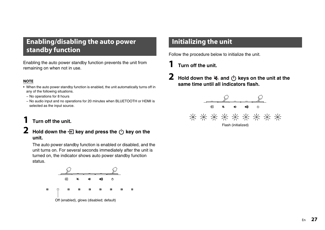# <span id="page-26-0"></span>**Enabling/disabling the auto power standby function**

Enabling the auto power standby function prevents the unit from remaining on when not in use.

### **NOTE**

- When the auto power standby function is enabled, the unit automatically turns off in any of the following situations.
	- − No operations for 8 hours
- − No audio input and no operations for 20 minutes when BLUETOOTH or HDMI is selected as the input source.

# **1 Turn off the unit.**

**2** Hold down the  $\overline{=}$  key and press the  $\overline{}$  key on the **unit.**

The auto power standby function is enabled or disabled, and the unit turns on. For several seconds immediately after the unit is turned on, the indicator shows auto power standby function status.



# <span id="page-26-1"></span>**Initializing the unit**

Follow the procedure below to initialize the unit.

- **1 Turn off the unit.**
- **2 Hold down the**  $\leq$  **and**  $\left(\frac{1}{2}\right)$  **keys on the unit at the same time until all indicators flash.**

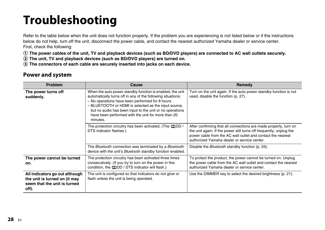# <span id="page-27-0"></span>**Troubleshooting**

Refer to the table below when the unit does not function properly. If the problem you are experiencing is not listed below or if the instructions below do not help, turn off the unit, disconnect the power cable, and contact the nearest authorized Yamaha dealer or service center. First, check the following:

1 **The power cables of the unit, TV and playback devices (such as BD/DVD players) are connected to AC wall outlets securely.**

2 **The unit, TV and playback devices (such as BD/DVD players) are turned on.**

3 **The connectors of each cable are securely inserted into jacks on each device.**

## **Power and system**

| Problem                                                                                                  | Cause                                                                                                                                                                                                                                                                                                                                                             | Remedy                                                                                                                                                                                                                                                |
|----------------------------------------------------------------------------------------------------------|-------------------------------------------------------------------------------------------------------------------------------------------------------------------------------------------------------------------------------------------------------------------------------------------------------------------------------------------------------------------|-------------------------------------------------------------------------------------------------------------------------------------------------------------------------------------------------------------------------------------------------------|
| The power turns off<br>suddenly.                                                                         | When the auto power standby function is enabled, the unit<br>automatically turns off in any of the following situations:<br>- No operations have been performed for 8 hours<br>- BLUETOOTH or HDMI is selected as the input source,<br>but no audio has been input to the unit or no operations<br>have been performed with the unit for more than 20<br>minutes. | Turn on the unit again. If the auto power standby function is not<br>used, disable the function (p. 27).                                                                                                                                              |
|                                                                                                          | The protection circuitry has been activated. (The DOD /<br>DTS indicator flashes.)                                                                                                                                                                                                                                                                                | After confirming that all connections are made properly, turn on<br>the unit again. If the power still turns off frequently, unplug the<br>power cable from the AC wall outlet and contact the nearest<br>authorized Yamaha dealer or service center. |
|                                                                                                          | The Bluetooth connection was terminated by a Bluetooth<br>device with the unit's Bluetooth standby function enabled.                                                                                                                                                                                                                                              | Disable the <i>Bluetooth</i> standby function (p. 25).                                                                                                                                                                                                |
| The power cannot be turned<br>on.                                                                        | The protection circuitry has been activated three times<br>consecutively. (If you try to turn on the power in this<br>condition, the <b>DOD</b> / DTS indicator will flash.)                                                                                                                                                                                      | To protect the product, the power cannot be turned on. Unplug<br>the power cable from the AC wall outlet and contact the nearest<br>authorized Yamaha dealer or service center.                                                                       |
| All indicators go out although<br>the unit is turned on (it may<br>seem that the unit is turned<br>off). | The unit is configured so that indicators do not glow or<br>flash unless the unit is being operated.                                                                                                                                                                                                                                                              | Use the DIMMER key to select the desired brightness (p. 21).                                                                                                                                                                                          |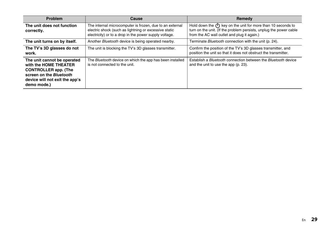| Problem                                                                                                                                                         | <b>Cause</b>                                                                                                                                                                | Remedy                                                                                                                                                                               |
|-----------------------------------------------------------------------------------------------------------------------------------------------------------------|-----------------------------------------------------------------------------------------------------------------------------------------------------------------------------|--------------------------------------------------------------------------------------------------------------------------------------------------------------------------------------|
| The unit does not function<br>correctly.                                                                                                                        | The internal microcomputer is frozen, due to an external<br>electric shock (such as lightning or excessive static<br>electricity) or to a drop in the power supply voltage. | Hold down the $(1)$ key on the unit for more than 10 seconds to<br>turn on the unit. (If the problem persists, unplug the power cable<br>from the AC wall outlet and plug it again.) |
| The unit turns on by itself.                                                                                                                                    | Another Bluetooth device is being operated nearby.                                                                                                                          | Terminate Bluetooth connection with the unit (p. 24).                                                                                                                                |
| The TV's 3D glasses do not<br>work.                                                                                                                             | The unit is blocking the TV's 3D glasses transmitter.                                                                                                                       | Confirm the position of the TV's 3D glasses transmitter, and<br>position the unit so that it does not obstruct the transmitter.                                                      |
| The unit cannot be operated<br>with the HOME THEATER<br><b>CONTROLLER app. (The</b><br>screen on the Bluetooth<br>device will not exit the app's<br>demo mode.) | The Bluetooth device on which the app has been installed<br>is not connected to the unit.                                                                                   | Establish a Bluetooth connection between the Bluetooth device<br>and the unit to use the app (p. 23).                                                                                |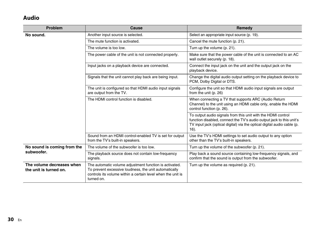# **Audio**

| Problem                                             | Cause                                                                                                                                                                                        | Remedy                                                                                                                                                                                                                     |
|-----------------------------------------------------|----------------------------------------------------------------------------------------------------------------------------------------------------------------------------------------------|----------------------------------------------------------------------------------------------------------------------------------------------------------------------------------------------------------------------------|
| No sound.                                           | Another input source is selected.                                                                                                                                                            | Select an appropriate input source (p. 19).                                                                                                                                                                                |
|                                                     | The mute function is activated.                                                                                                                                                              | Cancel the mute function (p. 21).                                                                                                                                                                                          |
|                                                     | The volume is too low.                                                                                                                                                                       | Turn up the volume (p. 21).                                                                                                                                                                                                |
|                                                     | The power cable of the unit is not connected properly.                                                                                                                                       | Make sure that the power cable of the unit is connected to an AC<br>wall outlet securely (p. 18).                                                                                                                          |
|                                                     | Input jacks on a playback device are connected.                                                                                                                                              | Connect the input jack on the unit and the output jack on the<br>playback device.                                                                                                                                          |
|                                                     | Signals that the unit cannot play back are being input.                                                                                                                                      | Change the digital audio output setting on the playback device to<br>PCM, Dolby Digital or DTS.                                                                                                                            |
|                                                     | The unit is configured so that HDMI audio input signals<br>are output from the TV.                                                                                                           | Configure the unit so that HDMI audio input signals are output<br>from the unit (p. 26)                                                                                                                                    |
|                                                     | The HDMI control function is disabled.                                                                                                                                                       | When connecting a TV that supports ARC (Audio Return<br>Channel) to the unit using an HDMI cable only, enable the HDMI<br>control function (p. 26).                                                                        |
|                                                     |                                                                                                                                                                                              | To output audio signals from this unit with the HDMI control<br>function disabled, connect the TV's audio output jack to this unit's<br>TV input jack (optical digital) via the optical digital audio cable (p.<br>$16)$ . |
|                                                     | Sound from an HDMI control-enabled TV is set for output<br>from the TV's built-in speakers.                                                                                                  | Use the TV's HDMI settings to set audio output to any option<br>other than the TV's built-in speakers.                                                                                                                     |
| No sound is coming from the                         | The volume of the subwoofer is too low.                                                                                                                                                      | Turn up the volume of the subwoofer (p. 21).                                                                                                                                                                               |
| subwoofer.                                          | The playback source does not contain low-frequency<br>signals.                                                                                                                               | Play back a sound source containing low-frequency signals, and<br>confirm that the sound is output from the subwoofer.                                                                                                     |
| The volume decreases when<br>the unit is turned on. | The automatic volume adjustment function is activated.<br>To prevent excessive loudness, the unit automatically<br>controls its volume within a certain level when the unit is<br>turned on. | Turn up the volume as required (p. 21).                                                                                                                                                                                    |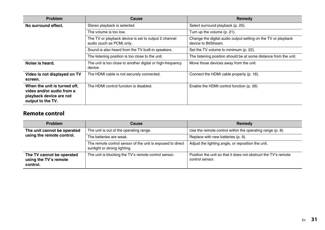| <b>Problem</b>                                                                                            | Cause                                                                             | Remedy                                                                                |
|-----------------------------------------------------------------------------------------------------------|-----------------------------------------------------------------------------------|---------------------------------------------------------------------------------------|
| No surround effect.                                                                                       | Stereo playback is selected.                                                      | Select surround playback (p. 20).                                                     |
|                                                                                                           | The volume is too low.                                                            | Turn up the volume (p. 21).                                                           |
|                                                                                                           | The TV or playback device is set to output 2 channel<br>audio (such as PCM) only. | Change the digital audio output setting on the TV or playback<br>device to BitStream. |
|                                                                                                           | Sound is also heard from the TV built-in speakers.                                | Set the TV volume to minimum (p. 22).                                                 |
|                                                                                                           | The listening position is too close to the unit.                                  | The listening position should be at some distance from the unit.                      |
| Noise is heard.                                                                                           | The unit is too close to another digital or high-frequency<br>device.             | Move those devices away from the unit.                                                |
| Video is not displayed on TV<br>screen.                                                                   | The HDMI cable is not securely connected.                                         | Connect the HDMI cable properly (p. 16).                                              |
| When the unit is turned off,<br>video and/or audio from a<br>playback device are not<br>output to the TV. | The HDMI control function is disabled.                                            | Enable the HDMI control function (p. 26)                                              |

### **Remote control**

| <b>Problem</b>                                                 | Cause                                                                                      | Remedy                                                                            |
|----------------------------------------------------------------|--------------------------------------------------------------------------------------------|-----------------------------------------------------------------------------------|
| The unit cannot be operated                                    | The unit is out of the operating range.                                                    | Use the remote control within the operating range (p. 8).                         |
| using the remote control.                                      | The batteries are weak.                                                                    | Replace with new batteries (p. 9).                                                |
|                                                                | The remote control sensor of the unit is exposed to direct<br>sunlight or strong lighting. | Adjust the lighting angle, or reposition the unit.                                |
| The TV cannot be operated<br>using the TV's remote<br>control. | The unit is blocking the TV's remote control sensor.                                       | Position the unit so that it does not obstruct the TV's remote<br>control sensor. |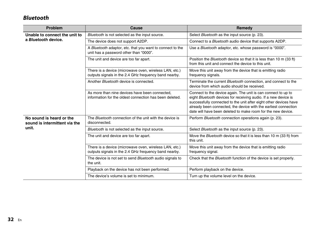# **Bluetooth**

| Problem                                                   | Cause                                                                                                           | Remedy                                                                                                                                                                                                                                                                                                                                   |
|-----------------------------------------------------------|-----------------------------------------------------------------------------------------------------------------|------------------------------------------------------------------------------------------------------------------------------------------------------------------------------------------------------------------------------------------------------------------------------------------------------------------------------------------|
| Unable to connect the unit to                             | Bluetooth is not selected as the input source.                                                                  | Select Bluetooth as the input source (p. 23).                                                                                                                                                                                                                                                                                            |
| a Bluetooth device.                                       | The device does not support A2DP.                                                                               | Connect to a Bluetooth audio device that supports A2DP.                                                                                                                                                                                                                                                                                  |
|                                                           | A Bluetooth adaptor, etc. that you want to connect to the<br>unit has a password other than "0000".             | Use a Bluetooth adaptor, etc. whose password is "0000".                                                                                                                                                                                                                                                                                  |
|                                                           | The unit and device are too far apart.                                                                          | Position the <i>Bluetooth</i> device so that it is less than 10 m (33 ft)<br>from this unit and connect the device to this unit.                                                                                                                                                                                                         |
|                                                           | There is a device (microwave oven, wireless LAN, etc.)<br>outputs signals in the 2.4 GHz frequency band nearby. | Move this unit away from the device that is emitting radio<br>frequency signals.                                                                                                                                                                                                                                                         |
|                                                           | Another Bluetooth device is connected.                                                                          | Terminate the current Bluetooth connection, and connect to the<br>device from which audio should be received.                                                                                                                                                                                                                            |
|                                                           | As more than nine devices have been connected.<br>information for the oldest connection has been deleted.       | Connect to the device again. The unit is can connect to up to<br>eight Bluetooth devices for receiving audio. If a new device is<br>successfully connected to the unit after eight other devices have<br>already been connected, the device with the earliest connection<br>date will have been deleted to make room for the new device. |
| No sound is heard or the<br>sound is intermittent via the | The Bluetooth connection of the unit with the device is<br>disconnected.                                        | Perform Bluetooth connection operations again (p. 23).                                                                                                                                                                                                                                                                                   |
| unit.                                                     | Bluetooth is not selected as the input source.                                                                  | Select Bluetooth as the input source (p. 23).                                                                                                                                                                                                                                                                                            |
|                                                           | The unit and device are too far apart.                                                                          | Move the <i>Bluetooth</i> device so that it is less than 10 m (33 ft) from<br>this unit.                                                                                                                                                                                                                                                 |
|                                                           | There is a device (microwave oven, wireless LAN, etc.)<br>outputs signals in the 2.4 GHz frequency band nearby. | Move this unit away from the device that is emitting radio<br>frequency signal.                                                                                                                                                                                                                                                          |
|                                                           | The device is not set to send Bluetooth audio signals to<br>the unit.                                           | Check that the <i>Bluetooth</i> function of the device is set properly.                                                                                                                                                                                                                                                                  |
|                                                           | Playback on the device has not been performed.                                                                  | Perform playback on the device.                                                                                                                                                                                                                                                                                                          |
|                                                           | The device's volume is set to minimum.                                                                          | Turn up the volume level on the device.                                                                                                                                                                                                                                                                                                  |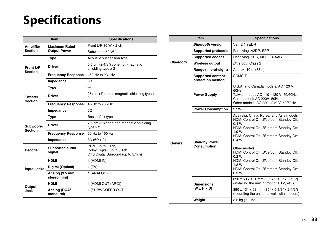# <span id="page-32-0"></span>**Specifications**

| <b>Item</b>                        |                                             | <b>Specifications</b>                                                                  |  |
|------------------------------------|---------------------------------------------|----------------------------------------------------------------------------------------|--|
| <b>Amplifier</b><br><b>Section</b> | <b>Maximum Rated</b><br><b>Output Power</b> | Front L/R 30 W x 2 ch                                                                  |  |
|                                    |                                             | Subwoofer 60 W                                                                         |  |
| Front L/R<br>Section               | Type                                        | Acoustic suspension type                                                               |  |
|                                    | Driver                                      | 5.5 cm (2-1/8") cone non-magnetic<br>shielding type x 2                                |  |
|                                    | <b>Frequency Response</b>                   | 160 Hz to 23 kHz                                                                       |  |
|                                    | Impedance                                   | 60                                                                                     |  |
| <b>Tweeter</b><br><b>Section</b>   | Type                                        | $\overline{\phantom{0}}$                                                               |  |
|                                    | Driver                                      | 25 mm (1") dome magnetic shielding type x<br>$\mathfrak{p}$                            |  |
|                                    | <b>Frequency Response</b>                   | 4 kHz to 23 kHz                                                                        |  |
|                                    | Impedance                                   | 60                                                                                     |  |
| <b>Subwoofer</b><br><b>Section</b> | <b>Type</b>                                 | Bass reflex type                                                                       |  |
|                                    | Driver                                      | 7.5 cm (3") cone non-magnetic shielding<br>type $x$ 2                                  |  |
|                                    | <b>Frequency Response</b>                   | 60 Hz to 160 Hz                                                                        |  |
|                                    | Impedance                                   | $3\Omega$ (6 $\Omega$ x 2)                                                             |  |
| <b>Decoder</b>                     | Supported audio<br>signal                   | PCM (up to 5.1ch)<br>Dolby Digital (up to 5.1ch)<br>DTS Digital Surround (up to 5.1ch) |  |
| <b>Input Jacks</b>                 | <b>HDMI</b>                                 | 1 (HDMI IN)                                                                            |  |
|                                    | Digital (Optical)                           | 1(TV)                                                                                  |  |
|                                    | Analog (3.5 mm<br>stereo mini)              | 1 (ANALOG)                                                                             |  |
| Output<br>Jack                     | <b>HDMI</b>                                 | 1 (HDMI OUT (ARC))                                                                     |  |
|                                    | Analog (RCA/<br>monaural)                   | 1 (SUBWOOFER OUT)                                                                      |  |

| <b>Item</b>      |                                               | <b>Specifications</b>                                                                                                                                                                                                                                                                                                                                                          |  |
|------------------|-----------------------------------------------|--------------------------------------------------------------------------------------------------------------------------------------------------------------------------------------------------------------------------------------------------------------------------------------------------------------------------------------------------------------------------------|--|
| <b>Bluetooth</b> | <b>Bluetooth version</b>                      | Ver. 2.1 +EDR                                                                                                                                                                                                                                                                                                                                                                  |  |
|                  | <b>Supported protocols</b>                    | Receiving: A2DP, SPP                                                                                                                                                                                                                                                                                                                                                           |  |
|                  | <b>Supported codecs</b>                       | Receiving: SBC, MPEG-4 AAC                                                                                                                                                                                                                                                                                                                                                     |  |
|                  | Wireless output                               | <b>Bluetooth Class 2</b>                                                                                                                                                                                                                                                                                                                                                       |  |
|                  | Range (line-of-sight)                         | Approx. 10 m (33 ft)                                                                                                                                                                                                                                                                                                                                                           |  |
|                  | <b>Supported content</b><br>protection method | SCMS-T                                                                                                                                                                                                                                                                                                                                                                         |  |
| General          | <b>Power Supply</b>                           | U.S.A. and Canada models: AC 120 V,<br>60Hz<br>Taiwan model: AC 110 - 120 V, 50/60Hz<br>China model: AC 220V, 50Hz<br>Other models: AC 220 - 240 V, 50/60Hz                                                                                                                                                                                                                    |  |
|                  | <b>Power Consumption</b>                      | 27 W                                                                                                                                                                                                                                                                                                                                                                           |  |
|                  | <b>Standby Power</b><br>Consumption           | Australia, China, Korea, and Asia models<br>HDMI Control Off, Bluetooth Standby Off:<br>0.4W<br>HDMI Control On, Bluetooth Standby Off:<br>1.9 W<br>HDMI Control Off, Bluetooth Standby On:<br>0.4W<br>Other models<br>HDMI Control Off, Bluetooth Standby Off:<br>0.2W<br>HDMI Control On, Bluetooth Standby Off:<br>1.8 W<br>HDMI Control Off, Bluetooth Standby On:<br>0.2W |  |
|                  | <b>Dimensions</b><br>$(W \times H \times D)$  | 890 x 53 x 131 mm (35" x 2-1/8" x 5-1/8")<br>(installing the unit in front of a TV, etc.)                                                                                                                                                                                                                                                                                      |  |
|                  |                                               | 890 x 131 x 62 mm (35" x 5-1/8" x 2-1/2")<br>(mounting the unit on a wall, with spacers)                                                                                                                                                                                                                                                                                       |  |
|                  | Weight                                        | 3.2 kg (7.1 lbs)                                                                                                                                                                                                                                                                                                                                                               |  |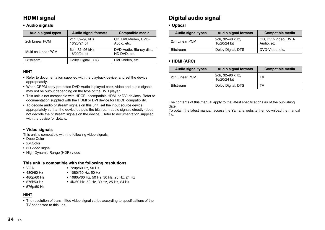## **HDMI signal**

### **• Audio signals**

| <b>Audio signal types</b> | <b>Audio signal formats</b>     | Compatible media                         |
|---------------------------|---------------------------------|------------------------------------------|
| 2ch Linear PCM            | 2ch, 32-96 kHz,<br>16/20/24 bit | CD, DVD-Video, DVD-<br>Audio, etc.       |
| Multi-ch Linear PCM       | 6ch, 32-96 kHz,<br>16/20/24 bit | DVD-Audio, Blu-ray disc,<br>HD DVD, etc. |
| <b>Bitstream</b>          | Dolby Digital, DTS              | DVD-Video, etc.                          |

### **HINT**

- Refer to documentation supplied with the playback device, and set the device appropriately.
- When CPPM copy-protected DVD-Audio is played back, video and audio signals may not be output depending on the type of the DVD player.
- This unit is not compatible with HDCP-incompatible HDMI or DVI devices. Refer to documentation supplied with the HDMI or DVI device for HDCP compatibility.
- To decode audio bitstream signals on this unit, set the input source device appropriately so that the device outputs the bitstream audio signals directly (does not decode the bitstream signals on the device). Refer to documentation supplied with the device for details.

#### **• Video signals**

This unit is compatible with the following video signals.

- Deep Color
- x.v.Color
- 3D video signal
- High Dynamic Range (HDR) video

#### **This unit is compatible with the following resolutions.**

• 720p/60 Hz, 50 Hz • 1080i/60 Hz, 50 Hz

- VGA
- 480i/60 Hz
- 480p/60 Hz
- 576i/50 Hz
- 576p/50 Hz

### **HINT**

• The resolution of transmitted video signal varies according to specifications of the TV connected to this unit.

• 1080p/60 Hz, 50 Hz, 30 Hz, 25 Hz, 24 Hz • 4K/60 Hz, 50 Hz, 30 Hz, 25 Hz, 24 Hz

# **Digital audio signal**

### **• Optical**

| Audio signal types | <b>Audio signal formats</b>     | Compatible media                   |
|--------------------|---------------------------------|------------------------------------|
| 2ch Linear PCM     | 2ch, 32-48 kHz,<br>16/20/24 bit | CD, DVD-Video, DVD-<br>Audio, etc. |
| <b>Bitstream</b>   | Dolby Digital, DTS              | DVD-Video, etc.                    |

### **• HDMI (ARC)**

| Audio signal types | <b>Audio signal formats</b>     | Compatible media |
|--------------------|---------------------------------|------------------|
| 2ch Linear PCM     | 2ch, 32-96 kHz,<br>16/20/24 bit | TV               |
| <b>Bitstream</b>   | Dolby Digital, DTS              | T٧               |

The contents of this manual apply to the latest specifications as of the publishing date.

To obtain the latest manual, access the Yamaha website then download the manual file.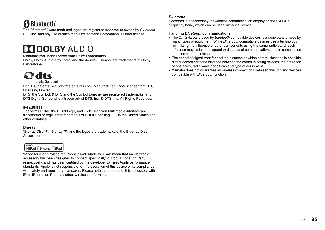# **83 Bluetooth**®

The Bluetooth<sup>®</sup> word mark and logos are registered trademarks owned by Bluetooth SIG, Inc. and any use of such marks by Yamaha Corporation is under license.

# **TT DOLBY AUDIO**

Manufactured under license from Dolby Laboratories.

Dolby, Dolby Audio, Pro Logic, and the double-D symbol are trademarks of Dolby Laboratories.



**Digital Surround** 

For DTS patents, see http://patents.dts.com. Manufactured under license from DTS Licensing Limited.

DTS, the Symbol, & DTS and the Symbol together are registered trademarks, and DTS Digital Surround is a trademark of DTS, Inc. © DTS, Inc. All Rights Reserved.

### Hami

The terms HDMI, the HDMI Logo, and High-Definition Multimedia Interface are trademarks or registered trademarks of HDMI Licensing LLC in the United States and other countries.

#### **Blu-ray**

"Blu-ray Disc™", "Blu-ray™", and the logos are trademarks of the Blue-ray Disc **Association** 



"Made for iPod," "Made for iPhone," and "Made for iPad" mean that an electronic accessory has been designed to connect specifically to iPod, iPhone, or iPad, respectively, and has been certified by the developer to meet Apple performance standards. Apple is not responsible for the operation of this device or its compliance with safety and regulatory standards. Please note that the use of this accessory with iPod, iPhone, or iPad may affect wireless performance.

#### *Bluetooth*

Bluetooth is a technology for wireless communication employing the 2.4 GHz frequency band, which can be used without a license.

#### **Handling** *Bluetooth* **communications**

- The 2.4 GHz band used by *Bluetooth* compatible devices is a radio band shared by many types of equipment. While Bluetooth compatible devices use a technology minimizing the influence of other components using the same radio band, such influence may reduce the speed or distance of communications and in some cases interrupt communications.
- The speed of signal transfer and the distance at which communications is possible differs according to the distance between the communicating devices, the presence of obstacles, radio wave conditions and type of equipment.
- Yamaha does not guarantee all wireless connections between this unit and devices compatible with Bluetooth function.